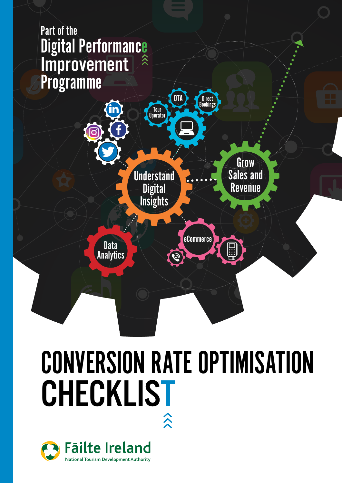# Part of the **Digital Performance** Improvement



# CONVERSION RATE OPTIMISATION CHECKLIST

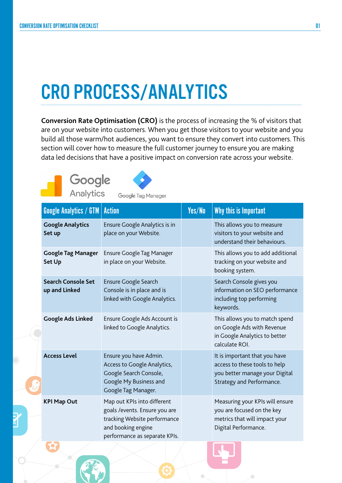## CRO PROCESS/ANALYTICS

**Conversion Rate Optimisation (CRO)** is the process of increasing the % of visitors that are on your website into customers. When you get those visitors to your website and you build all those warm/hot audiences, you want to ensure they convert into customers. This section will cover how to measure the full customer journey to ensure you are making data led decisions that have a positive impact on conversion rate across your website.





Google Tag Manager

|  | <b>Google Analytics / GTM   Action</b>     |                                                                                                                                                      | Yes/No | Why this is Important                                                                                                         |
|--|--------------------------------------------|------------------------------------------------------------------------------------------------------------------------------------------------------|--------|-------------------------------------------------------------------------------------------------------------------------------|
|  | <b>Google Analytics</b><br>Set up          | Ensure Google Analytics is in<br>place on your Website.                                                                                              |        | This allows you to measure<br>visitors to your website and<br>understand their behaviours.                                    |
|  | <b>Google Tag Manager</b><br><b>Set Up</b> | <b>Ensure Google Tag Manager</b><br>in place on your Website.                                                                                        |        | This allows you to add additional<br>tracking on your website and<br>booking system.                                          |
|  | <b>Search Console Set</b><br>up and Linked | <b>Ensure Google Search</b><br>Console is in place and is<br>linked with Google Analytics.                                                           |        | Search Console gives you<br>information on SEO performance<br>including top performing<br>keywords.                           |
|  | <b>Google Ads Linked</b>                   | Ensure Google Ads Account is<br>linked to Google Analytics.                                                                                          |        | This allows you to match spend<br>on Google Ads with Revenue<br>in Google Analytics to better<br>calculate ROI.               |
|  | <b>Access Level</b>                        | Ensure you have Admin.<br>Access to Google Analytics,<br>Google Search Console,<br>Google My Business and<br>Google Tag Manager.                     |        | It is important that you have<br>access to these tools to help<br>you better manage your Digital<br>Strategy and Performance. |
|  | <b>KPI Map Out</b>                         | Map out KPIs into different<br>goals / events. Ensure you are<br>tracking Website performance<br>and booking engine<br>performance as separate KPIs. |        | Measuring your KPIs will ensure<br>you are focused on the key<br>metrics that will impact your<br>Digital Performance.        |



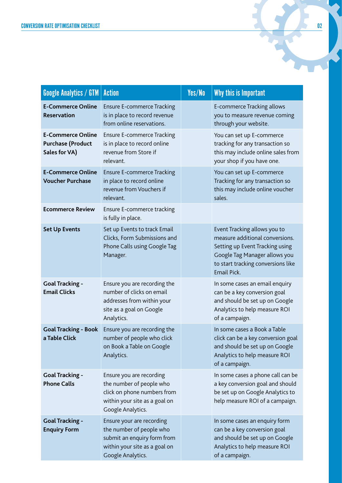| <b>Google Analytics / GTM</b>                                         | <b>Action</b>                                                                                                                              | Yes/No | Why this is Important                                                                                                                                                                    |
|-----------------------------------------------------------------------|--------------------------------------------------------------------------------------------------------------------------------------------|--------|------------------------------------------------------------------------------------------------------------------------------------------------------------------------------------------|
| <b>E-Commerce Online</b><br><b>Reservation</b>                        | <b>Ensure E-commerce Tracking</b><br>is in place to record revenue<br>from online reservations.                                            |        | E-commerce Tracking allows<br>you to measure revenue coming<br>through your website.                                                                                                     |
| <b>E-Commerce Online</b><br><b>Purchase (Product</b><br>Sales for VA) | <b>Ensure E-commerce Tracking</b><br>is in place to record online<br>revenue from Store if<br>relevant.                                    |        | You can set up E-commerce<br>tracking for any transaction so<br>this may include online sales from<br>your shop if you have one.                                                         |
| <b>E-Commerce Online</b><br><b>Voucher Purchase</b>                   | <b>Ensure E-commerce Tracking</b><br>in place to record online<br>revenue from Vouchers if<br>relevant.                                    |        | You can set up E-commerce<br>Tracking for any transaction so<br>this may include online voucher<br>sales.                                                                                |
| <b>Ecommerce Review</b>                                               | Ensure E-commerce tracking<br>is fully in place.                                                                                           |        |                                                                                                                                                                                          |
| <b>Set Up Events</b>                                                  | Set up Events to track Email<br>Clicks, Form Submissions and<br>Phone Calls using Google Tag<br>Manager.                                   |        | Event Tracking allows you to<br>measure additional conversions.<br>Setting up Event Tracking using<br>Google Tag Manager allows you<br>to start tracking conversions like<br>Email Pick. |
| <b>Goal Tracking -</b><br><b>Email Clicks</b>                         | Ensure you are recording the<br>number of clicks on email<br>addresses from within your<br>site as a goal on Google<br>Analytics.          |        | In some cases an email enquiry<br>can be a key conversion goal<br>and should be set up on Google<br>Analytics to help measure ROI<br>of a campaign.                                      |
| <b>Goal Tracking - Book</b><br>a Table Click                          | Ensure you are recording the<br>number of people who click<br>on Book a Table on Google<br>Analytics.                                      |        | In some cases a Book a Table<br>click can be a key conversion goal<br>and should be set up on Google<br>Analytics to help measure ROI<br>of a campaign.                                  |
| <b>Goal Tracking -</b><br><b>Phone Calls</b>                          | Ensure you are recording<br>the number of people who<br>click on phone numbers from<br>within your site as a goal on<br>Google Analytics.  |        | In some cases a phone call can be<br>a key conversion goal and should<br>be set up on Google Analytics to<br>help measure ROI of a campaign.                                             |
| <b>Goal Tracking -</b><br><b>Enquiry Form</b>                         | Ensure your are recording<br>the number of people who<br>submit an enquiry form from<br>within your site as a goal on<br>Google Analytics. |        | In some cases an enquiry form<br>can be a key conversion goal<br>and should be set up on Google<br>Analytics to help measure ROI<br>of a campaign.                                       |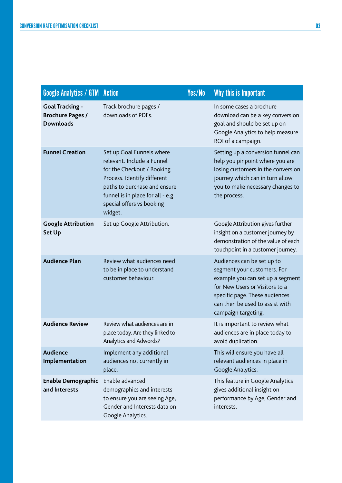| <b>Google Analytics / GTM</b>                                         | <b>Action</b>                                                                                                                                                                                                                    | Yes/No | Why this is Important                                                                                                                                                                                                       |
|-----------------------------------------------------------------------|----------------------------------------------------------------------------------------------------------------------------------------------------------------------------------------------------------------------------------|--------|-----------------------------------------------------------------------------------------------------------------------------------------------------------------------------------------------------------------------------|
| <b>Goal Tracking -</b><br><b>Brochure Pages /</b><br><b>Downloads</b> | Track brochure pages /<br>downloads of PDFs.                                                                                                                                                                                     |        | In some cases a brochure<br>download can be a key conversion<br>goal and should be set up on<br>Google Analytics to help measure<br>ROI of a campaign.                                                                      |
| <b>Funnel Creation</b>                                                | Set up Goal Funnels where<br>relevant. Include a Funnel<br>for the Checkout / Booking<br>Process. Identify different<br>paths to purchase and ensure<br>funnel is in place for all - e.g<br>special offers vs booking<br>widget. |        | Setting up a conversion funnel can<br>help you pinpoint where you are<br>losing customers in the conversion<br>journey which can in turn allow<br>you to make necessary changes to<br>the process.                          |
| <b>Google Attribution</b><br><b>Set Up</b>                            | Set up Google Attribution.                                                                                                                                                                                                       |        | Google Attribution gives further<br>insight on a customer journey by<br>demonstration of the value of each<br>touchpoint in a customer journey.                                                                             |
| <b>Audience Plan</b>                                                  | Review what audiences need<br>to be in place to understand<br>customer behaviour.                                                                                                                                                |        | Audiences can be set up to<br>segment your customers. For<br>example you can set up a segment<br>for New Users or Visitors to a<br>specific page. These audiences<br>can then be used to assist with<br>campaign targeting. |
| <b>Audience Review</b>                                                | Review what audiences are in<br>place today. Are they linked to<br>Analytics and Adwords?                                                                                                                                        |        | It is important to review what<br>audiences are in place today to<br>avoid duplication.                                                                                                                                     |
| <b>Audience</b><br>Implementation                                     | Implement any additional<br>audiences not currently in<br>place.                                                                                                                                                                 |        | This will ensure you have all<br>relevant audiences in place in<br>Google Analytics.                                                                                                                                        |
| Enable Demographic<br>and Interests                                   | Enable advanced<br>demographics and interests<br>to ensure you are seeing Age,<br>Gender and Interests data on<br>Google Analytics.                                                                                              |        | This feature in Google Analytics<br>gives additional insight on<br>performance by Age, Gender and<br>interests.                                                                                                             |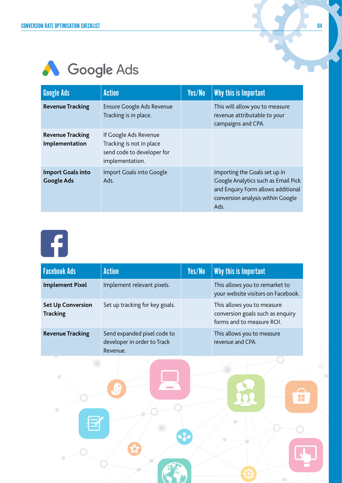#### A Google Ads

| <b>Google Ads</b>                             | <b>Action</b>                                                                                      | Yes/No | Why this is Important                                                                                                                                   |
|-----------------------------------------------|----------------------------------------------------------------------------------------------------|--------|---------------------------------------------------------------------------------------------------------------------------------------------------------|
| <b>Revenue Tracking</b>                       | Ensure Google Ads Revenue<br>Tracking is in place.                                                 |        | This will allow you to measure<br>revenue attributable to your<br>campaigns and CPA.                                                                    |
| <b>Revenue Tracking</b><br>Implementation     | If Google Ads Revenue<br>Tracking is not in place<br>send code to developer for<br>implementation. |        |                                                                                                                                                         |
| <b>Import Goals into</b><br><b>Google Ads</b> | Import Goals into Google<br>Ads.                                                                   |        | Importing the Goals set up in<br>Google Analytics such as Email Pick<br>and Enquiry Form allows additional<br>conversion analysis within Google<br>Ads. |



| <b>Facebook Ads</b>                         | <b>Action</b>                                                          | Yes/No | Why this is Important                                                                       |
|---------------------------------------------|------------------------------------------------------------------------|--------|---------------------------------------------------------------------------------------------|
| <b>Implement Pixel</b>                      | Implement relevant pixels.                                             |        | This allows you to remarket to<br>your website visitors on Facebook.                        |
| <b>Set Up Conversion</b><br><b>Tracking</b> | Set up tracking for key goals.                                         |        | This allows you to measure<br>conversion goals such as enquiry<br>forms and to measure ROI. |
| <b>Revenue Tracking</b>                     | Send expanded pixel code to<br>developer in order to Track<br>Revenue. |        | This allows you to measure<br>revenue and CPA.                                              |
|                                             |                                                                        |        |                                                                                             |

 $\sum_{i=1}^{n}$ 

 $\overline{\phantom{a}}$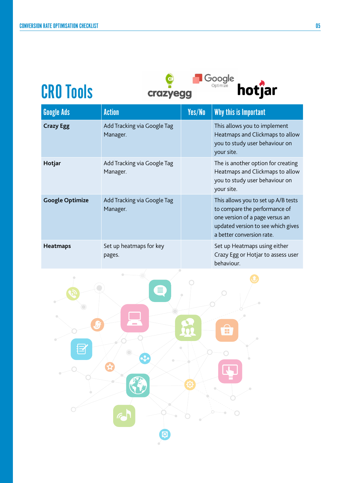CRO Tools





| <b>Google Ads</b>      | <b>Action</b>                           | Yes/No | Why this is Important                                                                                                                                                      |
|------------------------|-----------------------------------------|--------|----------------------------------------------------------------------------------------------------------------------------------------------------------------------------|
| <b>Crazy Egg</b>       | Add Tracking via Google Tag<br>Manager. |        | This allows you to implement<br>Heatmaps and Clickmaps to allow<br>you to study user behaviour on<br>your site.                                                            |
| Hotjar                 | Add Tracking via Google Tag<br>Manager. |        | The is another option for creating<br>Heatmaps and Clickmaps to allow<br>you to study user behaviour on<br>your site.                                                      |
| <b>Google Optimize</b> | Add Tracking via Google Tag<br>Manager. |        | This allows you to set up A/B tests<br>to compare the performance of<br>one version of a page versus an<br>updated version to see which gives<br>a better conversion rate. |
| <b>Heatmaps</b>        | Set up heatmaps for key<br>pages.       |        | Set up Heatmaps using either<br>Crazy Egg or Hotjar to assess user<br>behaviour.                                                                                           |

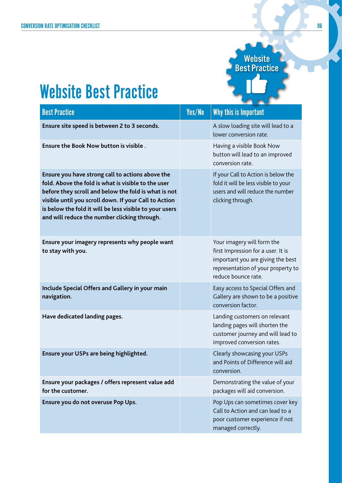**Website** Best Practice

### Website Best Practice

| <b>Best Practice</b>                                                                                                                                                                                                                                                                                                                | Yes/No | Why this is Important                                                                                                                                              |
|-------------------------------------------------------------------------------------------------------------------------------------------------------------------------------------------------------------------------------------------------------------------------------------------------------------------------------------|--------|--------------------------------------------------------------------------------------------------------------------------------------------------------------------|
| Ensure site speed is between 2 to 3 seconds.                                                                                                                                                                                                                                                                                        |        | A slow loading site will lead to a<br>lower conversion rate.                                                                                                       |
| Ensure the Book Now button is visible.                                                                                                                                                                                                                                                                                              |        | Having a visible Book Now<br>button will lead to an improved<br>conversion rate.                                                                                   |
| Ensure you have strong call to actions above the<br>fold. Above the fold is what is visible to the user<br>before they scroll and below the fold is what is not<br>visible until you scroll down. If your Call to Action<br>is below the fold it will be less visible to your users<br>and will reduce the number clicking through. |        | If your Call to Action is below the<br>fold it will be less visible to your<br>users and will reduce the number<br>clicking through.                               |
| Ensure your imagery represents why people want<br>to stay with you.                                                                                                                                                                                                                                                                 |        | Your imagery will form the<br>first Impression for a user. It is<br>important you are giving the best<br>representation of your property to<br>reduce bounce rate. |
| Include Special Offers and Gallery in your main<br>navigation.                                                                                                                                                                                                                                                                      |        | Easy access to Special Offers and<br>Gallery are shown to be a positive<br>conversion factor.                                                                      |
| Have dedicated landing pages.                                                                                                                                                                                                                                                                                                       |        | Landing customers on relevant<br>landing pages will shorten the<br>customer journey and will lead to<br>improved conversion rates.                                 |
| Ensure your USPs are being highlighted.                                                                                                                                                                                                                                                                                             |        | Clearly showcasing your USPs<br>and Points of Difference will aid<br>conversion.                                                                                   |
| Ensure your packages / offers represent value add<br>for the customer.                                                                                                                                                                                                                                                              |        | Demonstrating the value of your<br>packages will aid conversion.                                                                                                   |
| Ensure you do not overuse Pop Ups.                                                                                                                                                                                                                                                                                                  |        | Pop Ups can sometimes cover key<br>Call to Action and can lead to a<br>poor customer experience if not<br>managed correctly.                                       |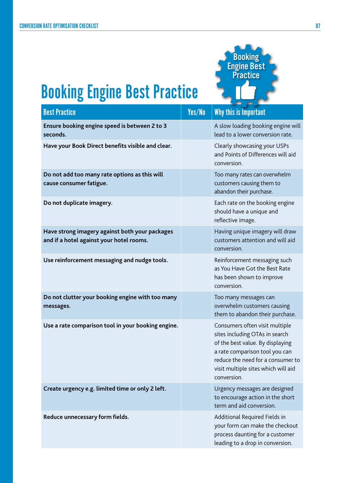

## Booking Engine Best Practice

| <b>Best Practice</b>                                                                       | Yes/No | Why this is Important                                                                                                                                                                                                             |
|--------------------------------------------------------------------------------------------|--------|-----------------------------------------------------------------------------------------------------------------------------------------------------------------------------------------------------------------------------------|
| Ensure booking engine speed is between 2 to 3<br>seconds.                                  |        | A slow loading booking engine will<br>lead to a lower conversion rate.                                                                                                                                                            |
| Have your Book Direct benefits visible and clear.                                          |        | Clearly showcasing your USPs<br>and Points of Differences will aid<br>conversion.                                                                                                                                                 |
| Do not add too many rate options as this will<br>cause consumer fatigue.                   |        | Too many rates can overwhelm<br>customers causing them to<br>abandon their purchase.                                                                                                                                              |
| Do not duplicate imagery.                                                                  |        | Each rate on the booking engine<br>should have a unique and<br>reflective image.                                                                                                                                                  |
| Have strong imagery against both your packages<br>and if a hotel against your hotel rooms. |        | Having unique imagery will draw<br>customers attention and will aid<br>conversion.                                                                                                                                                |
| Use reinforcement messaging and nudge tools.                                               |        | Reinforcement messaging such<br>as You Have Got the Best Rate<br>has been shown to improve<br>conversion.                                                                                                                         |
| Do not clutter your booking engine with too many<br>messages.                              |        | Too many messages can<br>overwhelm customers causing<br>them to abandon their purchase.                                                                                                                                           |
| Use a rate comparison tool in your booking engine.                                         |        | Consumers often visit multiple<br>sites including OTAs in search<br>of the best value. By displaying<br>a rate comparison tool you can<br>reduce the need for a consumer to<br>visit multiple sites which will aid<br>conversion. |
| Create urgency e.g. limited time or only 2 left.                                           |        | Urgency messages are designed<br>to encourage action in the short<br>term and aid conversion.                                                                                                                                     |
| Reduce unnecessary form fields.                                                            |        | Additional Required Fields in<br>your form can make the checkout<br>process daunting for a customer<br>leading to a drop in conversion.                                                                                           |